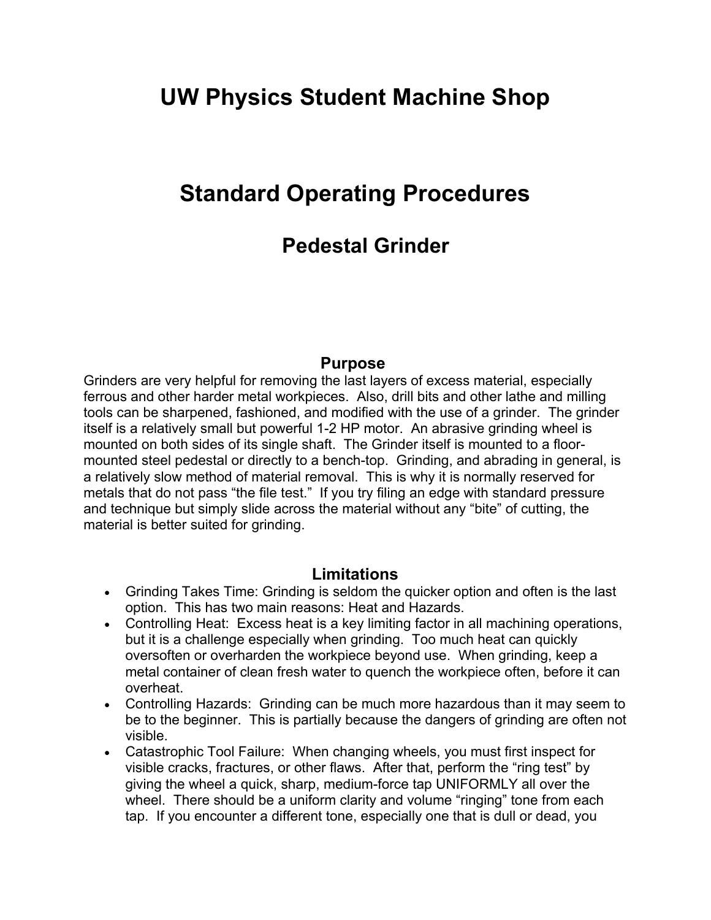# **UW Physics Student Machine Shop**

## **Standard Operating Procedures**

## **Pedestal Grinder**

#### **Purpose**

Grinders are very helpful for removing the last layers of excess material, especially ferrous and other harder metal workpieces. Also, drill bits and other lathe and milling tools can be sharpened, fashioned, and modified with the use of a grinder. The grinder itself is a relatively small but powerful 1-2 HP motor. An abrasive grinding wheel is mounted on both sides of its single shaft. The Grinder itself is mounted to a floormounted steel pedestal or directly to a bench-top. Grinding, and abrading in general, is a relatively slow method of material removal. This is why it is normally reserved for metals that do not pass "the file test." If you try filing an edge with standard pressure and technique but simply slide across the material without any "bite" of cutting, the material is better suited for grinding.

#### **Limitations**

- Grinding Takes Time: Grinding is seldom the quicker option and often is the last option. This has two main reasons: Heat and Hazards.
- Controlling Heat: Excess heat is a key limiting factor in all machining operations, but it is a challenge especially when grinding. Too much heat can quickly oversoften or overharden the workpiece beyond use. When grinding, keep a metal container of clean fresh water to quench the workpiece often, before it can overheat.
- Controlling Hazards: Grinding can be much more hazardous than it may seem to be to the beginner. This is partially because the dangers of grinding are often not visible.
- Catastrophic Tool Failure: When changing wheels, you must first inspect for visible cracks, fractures, or other flaws. After that, perform the "ring test" by giving the wheel a quick, sharp, medium-force tap UNIFORMLY all over the wheel. There should be a uniform clarity and volume "ringing" tone from each tap. If you encounter a different tone, especially one that is dull or dead, you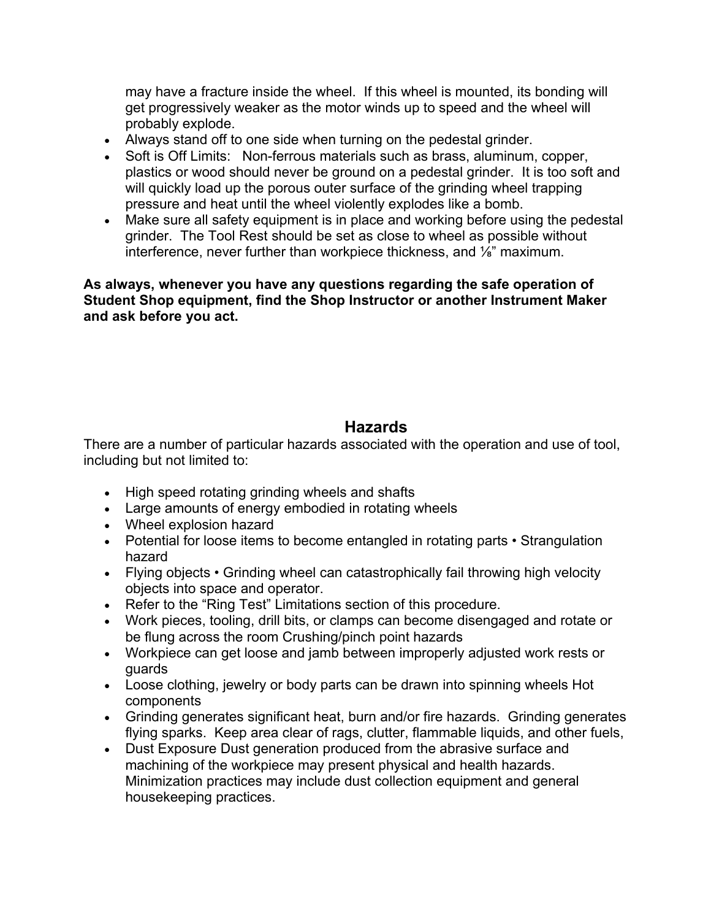may have a fracture inside the wheel. If this wheel is mounted, its bonding will get progressively weaker as the motor winds up to speed and the wheel will probably explode.

- Always stand off to one side when turning on the pedestal grinder.
- Soft is Off Limits: Non-ferrous materials such as brass, aluminum, copper, plastics or wood should never be ground on a pedestal grinder. It is too soft and will quickly load up the porous outer surface of the grinding wheel trapping pressure and heat until the wheel violently explodes like a bomb.
- Make sure all safety equipment is in place and working before using the pedestal grinder. The Tool Rest should be set as close to wheel as possible without interference, never further than workpiece thickness, and ⅛" maximum.

**As always, whenever you have any questions regarding the safe operation of Student Shop equipment, find the Shop Instructor or another Instrument Maker and ask before you act.**

### **Hazards**

There are a number of particular hazards associated with the operation and use of tool, including but not limited to:

- High speed rotating grinding wheels and shafts
- Large amounts of energy embodied in rotating wheels
- Wheel explosion hazard
- Potential for loose items to become entangled in rotating parts Strangulation hazard
- Flying objects Grinding wheel can catastrophically fail throwing high velocity objects into space and operator.
- Refer to the "Ring Test" Limitations section of this procedure.
- Work pieces, tooling, drill bits, or clamps can become disengaged and rotate or be flung across the room Crushing/pinch point hazards
- Workpiece can get loose and jamb between improperly adjusted work rests or guards
- Loose clothing, jewelry or body parts can be drawn into spinning wheels Hot components
- Grinding generates significant heat, burn and/or fire hazards. Grinding generates flying sparks. Keep area clear of rags, clutter, flammable liquids, and other fuels,
- Dust Exposure Dust generation produced from the abrasive surface and machining of the workpiece may present physical and health hazards. Minimization practices may include dust collection equipment and general housekeeping practices.